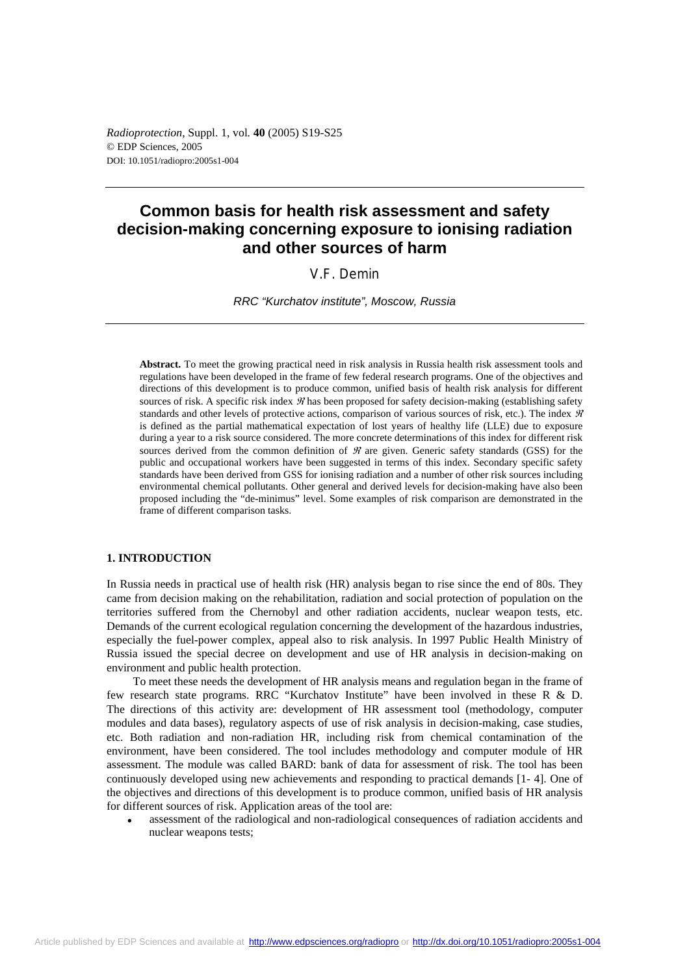*Radioprotection*, Suppl. 1, vol*.* **40** (2005) S19-S25 © EDP Sciences, 2005 DOI: 10.1051/radiopro:2005s1-004

# **Common basis for health risk assessment and safety decision-making concerning exposure to ionising radiation and other sources of harm**

# V.F. Demin

*RRC "Kurchatov institute", Moscow, Russia* 

**Abstract.** To meet the growing practical need in risk analysis in Russia health risk assessment tools and regulations have been developed in the frame of few federal research programs. One of the objectives and directions of this development is to produce common, unified basis of health risk analysis for different sources of risk. A specific risk index  $\mathcal{R}$  has been proposed for safety decision-making (establishing safety standards and other levels of protective actions, comparison of various sources of risk, etc.). The index  $\mathcal{R}$ is defined as the partial mathematical expectation of lost years of healthy life (LLE) due to exposure during a year to a risk source considered. The more concrete determinations of this index for different risk sources derived from the common definition of  $\mathcal{R}$  are given. Generic safety standards (GSS) for the public and occupational workers have been suggested in terms of this index. Secondary specific safety standards have been derived from GSS for ionising radiation and a number of other risk sources including environmental chemical pollutants. Other general and derived levels for decision-making have also been proposed including the "de-minimus" level. Some examples of risk comparison are demonstrated in the frame of different comparison tasks.

#### **1. INTRODUCTION**

In Russia needs in practical use of health risk (HR) analysis began to rise since the end of 80s. They came from decision making on the rehabilitation, radiation and social protection of population on the territories suffered from the Chernobyl and other radiation accidents, nuclear weapon tests, etc. Demands of the current ecological regulation concerning the development of the hazardous industries, especially the fuel-power complex, appeal also to risk analysis. In 1997 Public Health Ministry of Russia issued the special decree on development and use of HR analysis in decision-making on environment and public health protection.

To meet these needs the development of HR analysis means and regulation began in the frame of few research state programs. RRC "Kurchatov Institute" have been involved in these R & D. The directions of this activity are: development of HR assessment tool (methodology, computer modules and data bases), regulatory aspects of use of risk analysis in decision-making, case studies, etc. Both radiation and non-radiation HR, including risk from chemical contamination of the environment, have been considered. The tool includes methodology and computer module of HR assessment. The module was called BARD: bank of data for assessment of risk. The tool has been continuously developed using new achievements and responding to practical demands [1- 4]. One of the objectives and directions of this development is to produce common, unified basis of HR analysis for different sources of risk. Application areas of the tool are:

assessment of the radiological and non-radiological consequences of radiation accidents and nuclear weapons tests;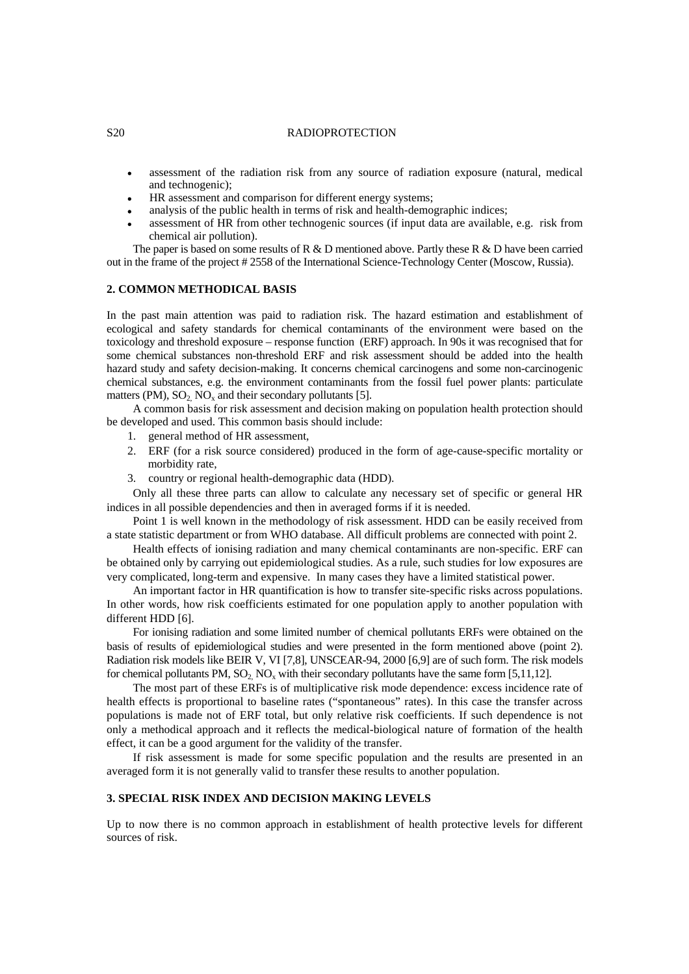#### S20 RADIOPROTECTION

- assessment of the radiation risk from any source of radiation exposure (natural, medical and technogenic);
- HR assessment and comparison for different energy systems:
- analysis of the public health in terms of risk and health-demographic indices;
- assessment of HR from other technogenic sources (if input data are available, e.g. risk from chemical air pollution).

The paper is based on some results of R & D mentioned above. Partly these R & D have been carried out in the frame of the project # 2558 of the International Science-Technology Center (Moscow, Russia).

#### **2. COMMON METHODICAL BASIS**

In the past main attention was paid to radiation risk. The hazard estimation and establishment of ecological and safety standards for chemical contaminants of the environment were based on the toxicology and threshold exposure – response function (ERF) approach. In 90s it was recognised that for some chemical substances non-threshold ERF and risk assessment should be added into the health hazard study and safety decision-making. It concerns chemical carcinogens and some non-carcinogenic chemical substances, e.g. the environment contaminants from the fossil fuel power plants: particulate matters (PM),  $SO_2$  NO<sub>x</sub> and their secondary pollutants [5].

A common basis for risk assessment and decision making on population health protection should be developed and used. This common basis should include:

- 1. general method of HR assessment,
- 2. ERF (for a risk source considered) produced in the form of age-cause-specific mortality or morbidity rate,
- 3. country or regional health-demographic data (HDD).

Only all these three parts can allow to calculate any necessary set of specific or general HR indices in all possible dependencies and then in averaged forms if it is needed.

Point 1 is well known in the methodology of risk assessment. HDD can be easily received from a state statistic department or from WHO database. All difficult problems are connected with point 2.

Health effects of ionising radiation and many chemical contaminants are non-specific. ERF can be obtained only by carrying out epidemiological studies. As a rule, such studies for low exposures are very complicated, long-term and expensive. In many cases they have a limited statistical power.

An important factor in HR quantification is how to transfer site-specific risks across populations. In other words, how risk coefficients estimated for one population apply to another population with different HDD [6].

For ionising radiation and some limited number of chemical pollutants ERFs were obtained on the basis of results of epidemiological studies and were presented in the form mentioned above (point 2). Radiation risk models like BEIR V, VI [7,8], UNSCEAR-94, 2000 [6,9] are of such form. The risk models for chemical pollutants PM,  $SO_2$  NO<sub>x</sub> with their secondary pollutants have the same form [5,11,12].

The most part of these ERFs is of multiplicative risk mode dependence: excess incidence rate of health effects is proportional to baseline rates ("spontaneous" rates). In this case the transfer across populations is made not of ERF total, but only relative risk coefficients. If such dependence is not only a methodical approach and it reflects the medical-biological nature of formation of the health effect, it can be a good argument for the validity of the transfer.

If risk assessment is made for some specific population and the results are presented in an averaged form it is not generally valid to transfer these results to another population.

#### **3. SPECIAL RISK INDEX AND DECISION MAKING LEVELS**

Up to now there is no common approach in establishment of health protective levels for different sources of risk.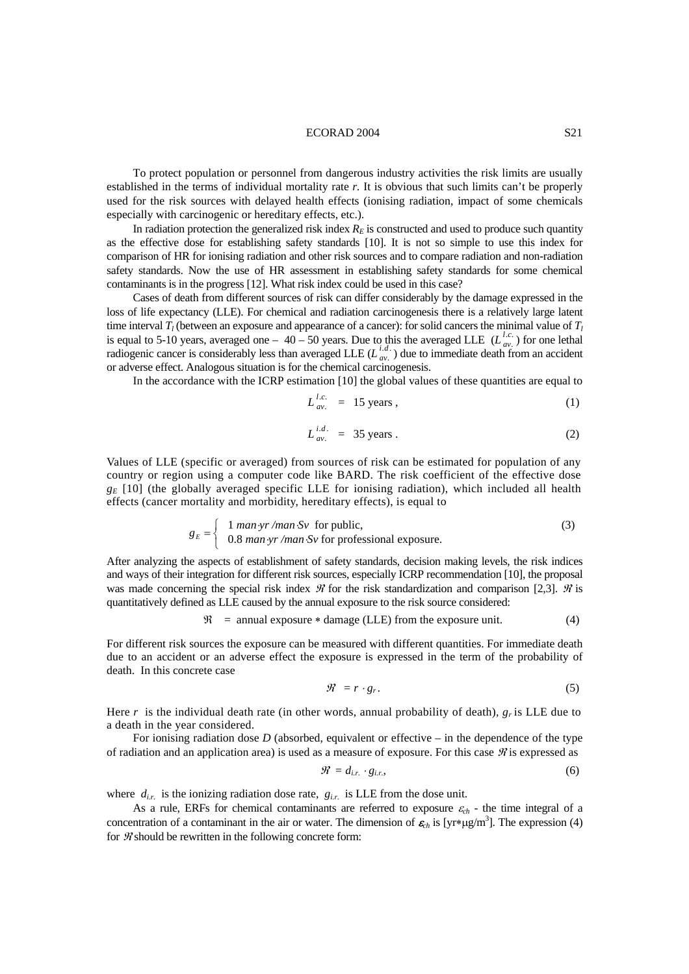#### ECORAD 2004 S21

To protect population or personnel from dangerous industry activities the risk limits are usually established in the terms of individual mortality rate *r.* It is obvious that such limits can't be properly used for the risk sources with delayed health effects (ionising radiation, impact of some chemicals especially with carcinogenic or hereditary effects, etc.).

In radiation protection the generalized risk index  $R<sub>E</sub>$  is constructed and used to produce such quantity as the effective dose for establishing safety standards [10]. It is not so simple to use this index for comparison of HR for ionising radiation and other risk sources and to compare radiation and non-radiation safety standards. Now the use of HR assessment in establishing safety standards for some chemical contaminants is in the progress [12]. What risk index could be used in this case?

Cases of death from different sources of risk can differ considerably by the damage expressed in the loss of life expectancy (LLE). For chemical and radiation carcinogenesis there is a relatively large latent time interval  $T_l$  (between an exposure and appearance of a cancer): for solid cancers the minimal value of  $T_l$ is equal to 5-10 years, averaged one –  $40-50$  years. Due to this the averaged LLE ( $L_{av}^{l.c.}$  $\frac{l.c.}{av}$ ) for one lethal radiogenic cancer is considerably less than averaged LLE ( $L_{av}^{i.d.}$ )  $\frac{i}{av}$ ) due to immediate death from an accident or adverse effect. Analogous situation is for the chemical carcinogenesis.

In the accordance with the ICRP estimation [10] the global values of these quantities are equal to

$$
L_{av.}^{l.c.} = 15 \text{ years}, \qquad (1)
$$

$$
L_{av.}^{i.d.} = 35 \text{ years} \,. \tag{2}
$$

Values of LLE (specific or averaged) from sources of risk can be estimated for population of any country or region using a computer code like BARD. The risk coefficient of the effective dose *gE* [10] (the globally averaged specific LLE for ionising radiation), which included all health effects (cancer mortality and morbidity, hereditary effects), is equal to

$$
g_E = \begin{cases} 1 \text{ man yr } / \text{man Sv for public,} \\ 0.8 \text{ man yr } / \text{man Sv for professional exposure.} \end{cases}
$$
 (3)

After analyzing the aspects of establishment of safety standards, decision making levels, the risk indices and ways of their integration for different risk sources, especially ICRP recommendation [10], the proposal was made concerning the special risk index  $\mathcal{R}$  for the risk standardization and comparison [2,3].  $\mathcal{R}$  is quantitatively defined as LLE caused by the annual exposure to the risk source considered:

$$
\mathfrak{R} = \text{annual exposure} * \text{ damage (LLE) from the exposure unit.} \tag{4}
$$

For different risk sources the exposure can be measured with different quantities. For immediate death due to an accident or an adverse effect the exposure is expressed in the term of the probability of death. In this concrete case

$$
\mathcal{R} = r \cdot g_r. \tag{5}
$$

Here *r* is the individual death rate (in other words, annual probability of death), *gr* is LLE due to a death in the year considered.

For ionising radiation dose *D* (absorbed, equivalent or effective – in the dependence of the type of radiation and an application area) is used as a measure of exposure. For this case  $\mathcal{R}$  is expressed as

$$
\mathcal{R} = d_{i.r.} \cdot g_{i.r.} \tag{6}
$$

where  $d_{ix}$  is the ionizing radiation dose rate,  $g_{ix}$  is LLE from the dose unit.

As a rule, ERFs for chemical contaminants are referred to exposure  $\varepsilon_{ch}$  - the time integral of a concentration of a contaminant in the air or water. The dimension of  $\varepsilon_{ch}$  is [yr\*µg/m<sup>3</sup>]. The expression (4) for  $\mathcal{R}$  should be rewritten in the following concrete form: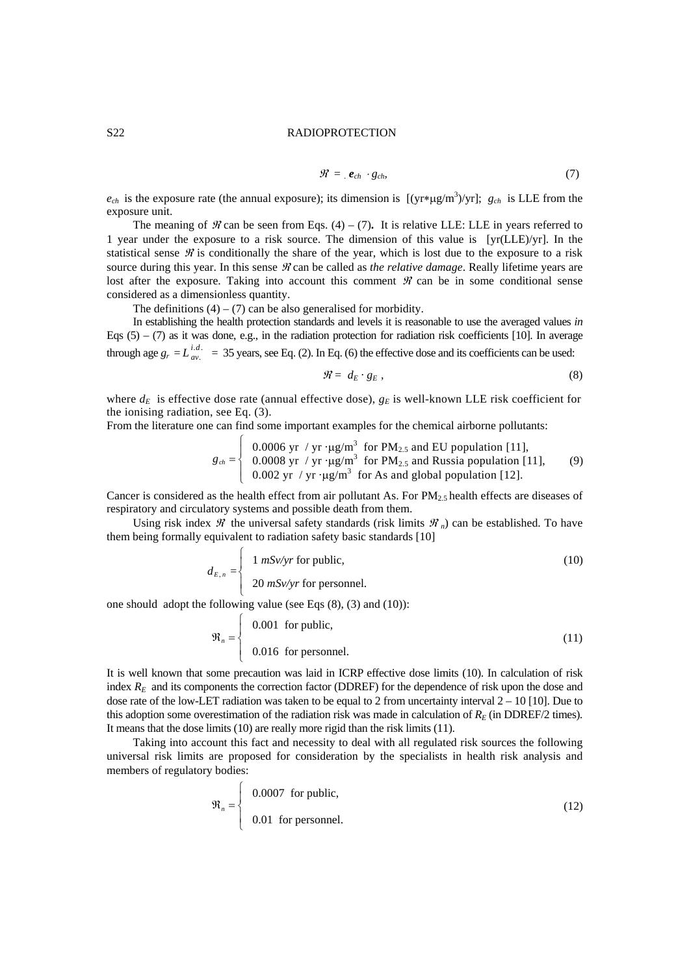#### S22 RADIOPROTECTION

$$
\mathcal{R} = \mathbf{e}_{ch} \cdot \mathbf{g}_{ch} \tag{7}
$$

 $e_{ch}$  is the exposure rate (the annual exposure); its dimension is [(yr\*µg/m<sup>3</sup>)/yr];  $g_{ch}$  is LLE from the exposure unit.

The meaning of  $\mathcal{R}$  can be seen from Eqs. (4) – (7). It is relative LLE: LLE in years referred to 1 year under the exposure to a risk source. The dimension of this value is [yr(LLE)/yr]. In the statistical sense  $\mathcal R$  is conditionally the share of the year, which is lost due to the exposure to a risk source during this year. In this sense *η* can be called as *the relative damage*. Really lifetime years are lost after the exposure. Taking into account this comment  $\mathcal{R}$  can be in some conditional sense considered as a dimensionless quantity.

The definitions  $(4) - (7)$  can be also generalised for morbidity.

In establishing the health protection standards and levels it is reasonable to use the averaged values *in* Eqs  $(5) - (7)$  as it was done, e.g., in the radiation protection for radiation risk coefficients [10]. In average through age  $g_r = L_{av}^{i.d.}$  $\frac{i}{av}$  = 35 years, see Eq. (2). In Eq. (6) the effective dose and its coefficients can be used:

$$
\mathcal{R} = d_E \cdot g_E, \qquad (8)
$$

where  $d_E$  is effective dose rate (annual effective dose),  $g_E$  is well-known LLE risk coefficient for the ionising radiation, see Eq. (3).

From the literature one can find some important examples for the chemical airborne pollutants:

$$
g_{ch} = \begin{cases} 0.0006 \text{ yr} / \text{yr} \cdot \mu\text{g/m}^3 \text{ for PM}_{2.5} \text{ and EU population [11],} \\ 0.0008 \text{ yr} / \text{yr} \cdot \mu\text{g/m}^3 \text{ for PM}_{2.5} \text{ and Russia population [11],} \\ 0.002 \text{ yr} / \text{yr} \cdot \mu\text{g/m}^3 \text{ for As and global population [12].} \end{cases}
$$
 (9)

Cancer is considered as the health effect from air pollutant As. For  $PM_{2.5}$  health effects are diseases of respiratory and circulatory systems and possible death from them.

Using risk index  $\mathcal{R}$  the universal safety standards (risk limits  $\mathcal{R}_n$ ) can be established. To have them being formally equivalent to radiation safety basic standards [10]

$$
d_{E,n} = \begin{cases} 1 \, \text{mSv/yr for public,} \\ 20 \, \text{mSv/yr for personnel.} \end{cases} \tag{10}
$$

one should adopt the following value (see Eqs (8), (3) and (10)):

$$
\mathfrak{R}_n = \begin{cases} 0.001 & \text{for public,} \\ 0.016 & \text{for personnel.} \end{cases}
$$
 (11)

It is well known that some precaution was laid in ICRP effective dose limits (10). In calculation of risk index *RE* and its components the correction factor (DDREF) for the dependence of risk upon the dose and dose rate of the low-LET radiation was taken to be equal to 2 from uncertainty interval  $2 - 10$  [10]. Due to this adoption some overestimation of the radiation risk was made in calculation of  $R_E$  (in DDREF/2 times). It means that the dose limits (10) are really more rigid than the risk limits (11).

Taking into account this fact and necessity to deal with all regulated risk sources the following universal risk limits are proposed for consideration by the specialists in health risk analysis and members of regulatory bodies:

$$
\mathfrak{R}_n = \begin{cases} 0.0007 & \text{for public,} \\ 0.01 & \text{for personnel.} \end{cases}
$$
 (12)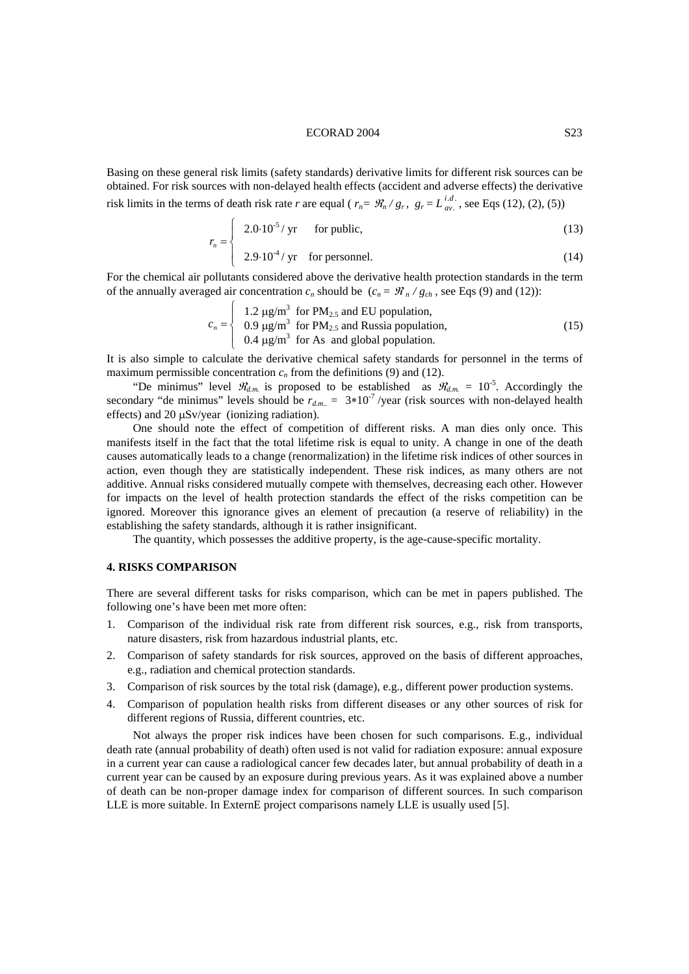#### ECORAD 2004 S23

Basing on these general risk limits (safety standards) derivative limits for different risk sources can be obtained. For risk sources with non-delayed health effects (accident and adverse effects) the derivative risk limits in the terms of death risk rate *r* are equal ( $r_n = \mathcal{R}_n / g_r$ ,  $g_r = L_{av}^{i.d.}$  $\frac{i.d.}{av}$ , see Eqs (12), (2), (5))

$$
r_n = \begin{cases} 2.0.10^{-5} / \text{ yr} & \text{for public,} \end{cases}
$$
 (13)

$$
2.9 \cdot 10^{-4} / \text{ yr} \quad \text{for personnel.} \tag{14}
$$

For the chemical air pollutants considered above the derivative health protection standards in the term of the annually averaged air concentration  $c_n$  should be  $(c_n = \mathcal{R}_n / g_{ch}$ , see Eqs (9) and (12)):

$$
c_n = \begin{cases} 1.2 \text{ }\mu\text{g/m}^3 \text{ for PM}_{2.5} \text{ and EU population,} \\ 0.9 \text{ }\mu\text{g/m}^3 \text{ for PM}_{2.5} \text{ and Russia population,} \\ 0.4 \text{ }\mu\text{g/m}^3 \text{ for As and global population.} \end{cases}
$$
 (15)

It is also simple to calculate the derivative chemical safety standards for personnel in the terms of maximum permissible concentration  $c_n$  from the definitions (9) and (12).

"De minimus" level  $\mathcal{R}_{d,m}$  is proposed to be established as  $\mathcal{R}_{d,m} = 10^{-5}$ . Accordingly the secondary "de minimus" levels should be  $r_{dm} = 3*10^{-7}$  /year (risk sources with non-delayed health effects) and 20 µSv/year (ionizing radiation).

One should note the effect of competition of different risks. A man dies only once. This manifests itself in the fact that the total lifetime risk is equal to unity. A change in one of the death causes automatically leads to a change (renormalization) in the lifetime risk indices of other sources in action, even though they are statistically independent. These risk indices, as many others are not additive. Annual risks considered mutually compete with themselves, decreasing each other. However for impacts on the level of health protection standards the effect of the risks competition can be ignored. Moreover this ignorance gives an element of precaution (a reserve of reliability) in the establishing the safety standards, although it is rather insignificant.

The quantity, which possesses the additive property, is the age-cause-specific mortality.

#### **4. RISKS COMPARISON**

There are several different tasks for risks comparison, which can be met in papers published. The following one's have been met more often:

- 1. Comparison of the individual risk rate from different risk sources, e.g., risk from transports, nature disasters, risk from hazardous industrial plants, etc.
- 2. Comparison of safety standards for risk sources, approved on the basis of different approaches, e.g., radiation and chemical protection standards.
- 3. Comparison of risk sources by the total risk (damage), e.g., different power production systems.
- 4. Comparison of population health risks from different diseases or any other sources of risk for different regions of Russia, different countries, etc.

Not always the proper risk indices have been chosen for such comparisons. E.g., individual death rate (annual probability of death) often used is not valid for radiation exposure: annual exposure in a current year can cause a radiological cancer few decades later, but annual probability of death in a current year can be caused by an exposure during previous years. As it was explained above a number of death can be non-proper damage index for comparison of different sources. In such comparison LLE is more suitable. In ExternE project comparisons namely LLE is usually used [5].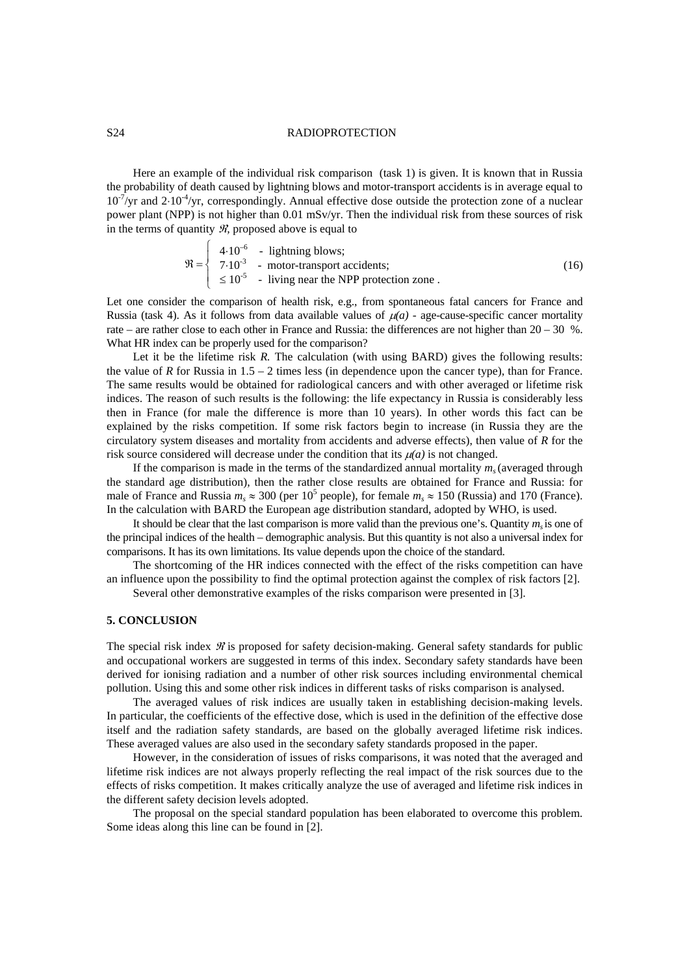#### S24 RADIOPROTECTION

Here an example of the individual risk comparison (task 1) is given. It is known that in Russia the probability of death caused by lightning blows and motor-transport accidents is in average equal to  $10^{-7}/yr$  and 2⋅10<sup>-4</sup>/yr, correspondingly. Annual effective dose outside the protection zone of a nuclear power plant (NPP) is not higher than 0.01 mSv/yr. Then the individual risk from these sources of risk in the terms of quantity ℜ*,* proposed above is equal to

$$
\mathfrak{R} = \left\{ \begin{array}{ll} 4.10^{-6} & \text{1 ghtning blows;} \\ 7.10^{-3} & \text{motor-transport accidents;} \\ \leq 10^{-5} & \text{1iving near the NPP protection zone.} \end{array} \right. \tag{16}
$$

Let one consider the comparison of health risk, e.g., from spontaneous fatal cancers for France and Russia (task 4). As it follows from data available values of  $\mu(a)$  - age-cause-specific cancer mortality rate – are rather close to each other in France and Russia: the differences are not higher than 20 – 30 %. What HR index can be properly used for the comparison?

Let it be the lifetime risk *R*. The calculation (with using BARD) gives the following results: the value of *R* for Russia in  $1.5 - 2$  times less (in dependence upon the cancer type), than for France. The same results would be obtained for radiological cancers and with other averaged or lifetime risk indices. The reason of such results is the following: the life expectancy in Russia is considerably less then in France (for male the difference is more than 10 years). In other words this fact can be explained by the risks competition. If some risk factors begin to increase (in Russia they are the circulatory system diseases and mortality from accidents and adverse effects), then value of *R* for the risk source considered will decrease under the condition that its  $\mu(a)$  is not changed.

If the comparison is made in the terms of the standardized annual mortality  $m<sub>s</sub>$  (averaged through the standard age distribution), then the rather close results are obtained for France and Russia: for male of France and Russia  $m_s \approx 300$  (per 10<sup>5</sup> people), for female  $m_s \approx 150$  (Russia) and 170 (France). In the calculation with BARD the European age distribution standard, adopted by WHO, is used.

It should be clear that the last comparison is more valid than the previous one's. Quantity  $m_s$  is one of the principal indices of the health – demographic analysis. But this quantity is not also a universal index for comparisons. It has its own limitations. Its value depends upon the choice of the standard.

The shortcoming of the HR indices connected with the effect of the risks competition can have an influence upon the possibility to find the optimal protection against the complex of risk factors [2].

Several other demonstrative examples of the risks comparison were presented in [3].

### **5. CONCLUSION**

The special risk index  $\mathcal{R}$  is proposed for safety decision-making. General safety standards for public and occupational workers are suggested in terms of this index. Secondary safety standards have been derived for ionising radiation and a number of other risk sources including environmental chemical pollution. Using this and some other risk indices in different tasks of risks comparison is analysed.

The averaged values of risk indices are usually taken in establishing decision-making levels. In particular, the coefficients of the effective dose, which is used in the definition of the effective dose itself and the radiation safety standards, are based on the globally averaged lifetime risk indices. These averaged values are also used in the secondary safety standards proposed in the paper.

However, in the consideration of issues of risks comparisons, it was noted that the averaged and lifetime risk indices are not always properly reflecting the real impact of the risk sources due to the effects of risks competition. It makes critically analyze the use of averaged and lifetime risk indices in the different safety decision levels adopted.

The proposal on the special standard population has been elaborated to overcome this problem. Some ideas along this line can be found in [2].